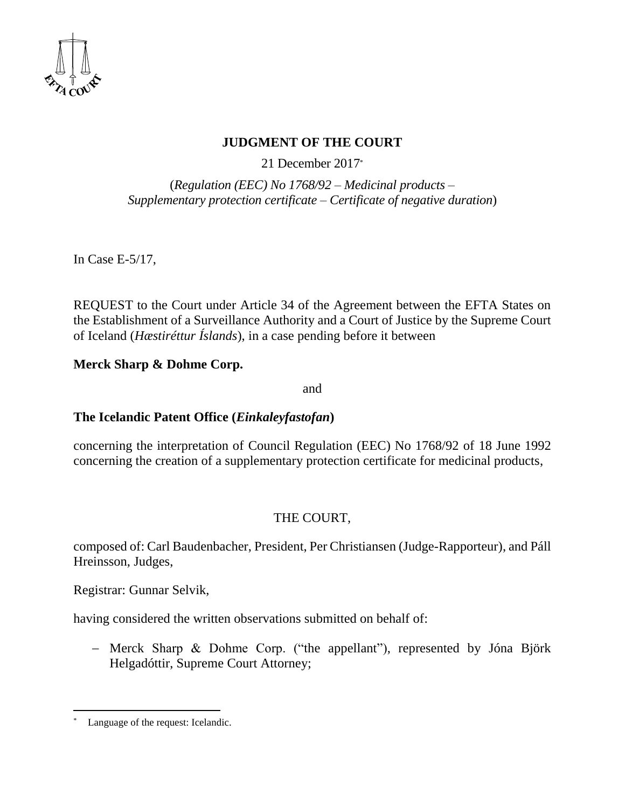

## **JUDGMENT OF THE COURT**

21 December 2017 \*

(*Regulation (EEC) No 1768/92 – Medicinal products – Supplementary protection certificate – Certificate of negative duration*)

In Case E-5/17,

REQUEST to the Court under Article 34 of the Agreement between the EFTA States on the Establishment of a Surveillance Authority and a Court of Justice by the Supreme Court of Iceland (*Hæstiréttur Íslands*), in a case pending before it between

### **Merck Sharp & Dohme Corp.**

and

### **The Icelandic Patent Office (***Einkaleyfastofan***)**

concerning the interpretation of Council Regulation (EEC) No 1768/92 of 18 June 1992 concerning the creation of a supplementary protection certificate for medicinal products,

# THE COURT,

composed of: Carl Baudenbacher, President, Per Christiansen (Judge-Rapporteur), and Páll Hreinsson, Judges,

Registrar: Gunnar Selvik,

having considered the written observations submitted on behalf of:

 Merck Sharp & Dohme Corp. ("the appellant"), represented by Jóna Björk Helgadóttir, Supreme Court Attorney;

 $\overline{a}$ Language of the request: Icelandic.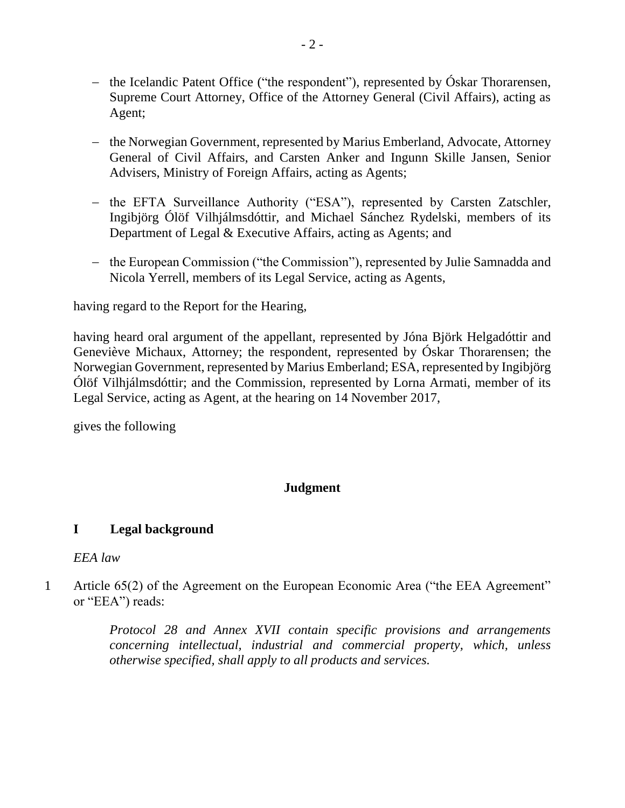- the Icelandic Patent Office ("the respondent"), represented by Óskar Thorarensen, Supreme Court Attorney, Office of the Attorney General (Civil Affairs), acting as Agent;
- the Norwegian Government, represented by Marius Emberland, Advocate, Attorney General of Civil Affairs, and Carsten Anker and Ingunn Skille Jansen, Senior Advisers, Ministry of Foreign Affairs, acting as Agents;
- the EFTA Surveillance Authority ("ESA"), represented by Carsten Zatschler, Ingibjörg Ólöf Vilhjálmsdóttir, and Michael Sánchez Rydelski, members of its Department of Legal & Executive Affairs, acting as Agents; and
- the European Commission ("the Commission"), represented by Julie Samnadda and Nicola Yerrell, members of its Legal Service, acting as Agents,

having regard to the Report for the Hearing,

having heard oral argument of the appellant, represented by Jóna Björk Helgadóttir and Geneviève Michaux, Attorney; the respondent, represented by Óskar Thorarensen; the Norwegian Government, represented by Marius Emberland; ESA, represented by Ingibjörg Ólöf Vilhjálmsdóttir; and the Commission, represented by Lorna Armati, member of its Legal Service, acting as Agent, at the hearing on 14 November 2017,

gives the following

# **Judgment**

#### **I Legal background**

#### *EEA law*

1 Article 65(2) of the Agreement on the European Economic Area ("the EEA Agreement" or "EEA") reads:

> *Protocol 28 and Annex XVII contain specific provisions and arrangements concerning intellectual, industrial and commercial property, which, unless otherwise specified, shall apply to all products and services.*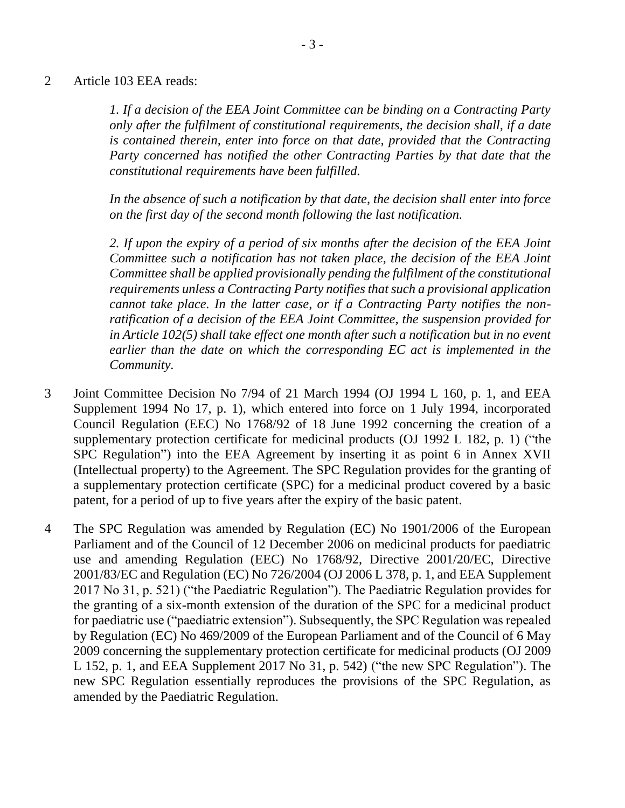2 Article 103 EEA reads:

*1. If a decision of the EEA Joint Committee can be binding on a Contracting Party only after the fulfilment of constitutional requirements, the decision shall, if a date is contained therein, enter into force on that date, provided that the Contracting Party concerned has notified the other Contracting Parties by that date that the constitutional requirements have been fulfilled.* 

*In the absence of such a notification by that date, the decision shall enter into force on the first day of the second month following the last notification.*

*2. If upon the expiry of a period of six months after the decision of the EEA Joint Committee such a notification has not taken place, the decision of the EEA Joint Committee shall be applied provisionally pending the fulfilment of the constitutional requirements unless a Contracting Party notifies that such a provisional application cannot take place. In the latter case, or if a Contracting Party notifies the nonratification of a decision of the EEA Joint Committee, the suspension provided for in Article 102(5) shall take effect one month after such a notification but in no event earlier than the date on which the corresponding EC act is implemented in the Community.*

- 3 Joint Committee Decision No 7/94 of 21 March 1994 (OJ 1994 L 160, p. 1, and EEA Supplement 1994 No 17, p. 1), which entered into force on 1 July 1994, incorporated Council Regulation (EEC) No 1768/92 of 18 June 1992 concerning the creation of a supplementary protection certificate for medicinal products (OJ 1992 L 182, p. 1) ("the SPC Regulation") into the EEA Agreement by inserting it as point 6 in Annex XVII (Intellectual property) to the Agreement. The SPC Regulation provides for the granting of a supplementary protection certificate (SPC) for a medicinal product covered by a basic patent, for a period of up to five years after the expiry of the basic patent.
- 4 The SPC Regulation was amended by Regulation (EC) No 1901/2006 of the European Parliament and of the Council of 12 December 2006 on medicinal products for paediatric use and amending Regulation (EEC) No 1768/92, Directive 2001/20/EC, Directive 2001/83/EC and Regulation (EC) No 726/2004 (OJ 2006 L 378, p. 1, and EEA Supplement 2017 No 31, p. 521) ("the Paediatric Regulation"). The Paediatric Regulation provides for the granting of a six-month extension of the duration of the SPC for a medicinal product for paediatric use ("paediatric extension"). Subsequently, the SPC Regulation was repealed by Regulation (EC) No 469/2009 of the European Parliament and of the Council of 6 May 2009 concerning the supplementary protection certificate for medicinal products (OJ 2009 L 152, p. 1, and EEA Supplement 2017 No 31, p. 542) ("the new SPC Regulation"). The new SPC Regulation essentially reproduces the provisions of the SPC Regulation, as amended by the Paediatric Regulation.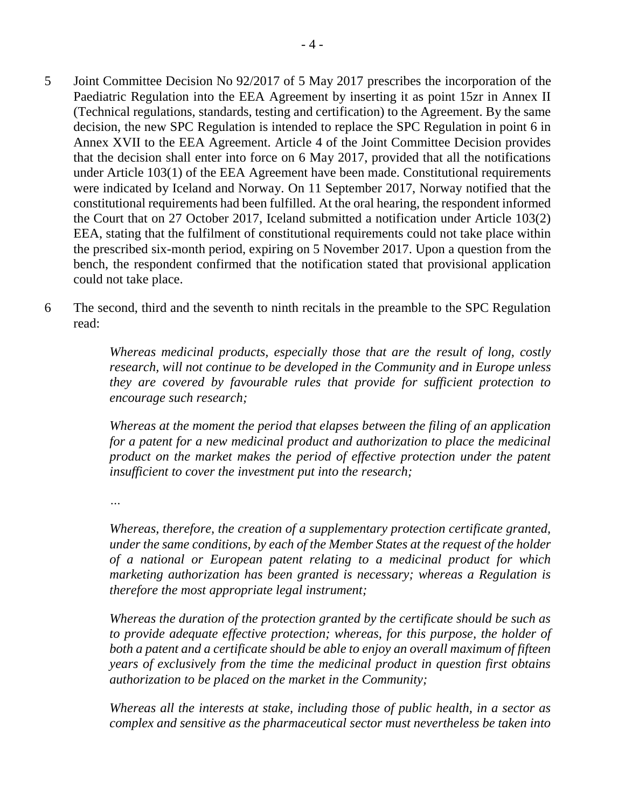- 5 Joint Committee Decision No 92/2017 of 5 May 2017 prescribes the incorporation of the Paediatric Regulation into the EEA Agreement by inserting it as point 15zr in Annex II (Technical regulations, standards, testing and certification) to the Agreement. By the same decision, the new SPC Regulation is intended to replace the SPC Regulation in point 6 in Annex XVII to the EEA Agreement. Article 4 of the Joint Committee Decision provides that the decision shall enter into force on 6 May 2017, provided that all the notifications under Article 103(1) of the EEA Agreement have been made. Constitutional requirements were indicated by Iceland and Norway. On 11 September 2017, Norway notified that the constitutional requirements had been fulfilled. At the oral hearing, the respondent informed the Court that on 27 October 2017, Iceland submitted a notification under Article 103(2) EEA, stating that the fulfilment of constitutional requirements could not take place within the prescribed six-month period, expiring on 5 November 2017. Upon a question from the bench, the respondent confirmed that the notification stated that provisional application could not take place.
- 6 The second, third and the seventh to ninth recitals in the preamble to the SPC Regulation read:

*Whereas medicinal products, especially those that are the result of long, costly research, will not continue to be developed in the Community and in Europe unless they are covered by favourable rules that provide for sufficient protection to encourage such research;*

*Whereas at the moment the period that elapses between the filing of an application for a patent for a new medicinal product and authorization to place the medicinal product on the market makes the period of effective protection under the patent insufficient to cover the investment put into the research;*

*…*

*Whereas, therefore, the creation of a supplementary protection certificate granted, under the same conditions, by each of the Member States at the request of the holder of a national or European patent relating to a medicinal product for which marketing authorization has been granted is necessary; whereas a Regulation is therefore the most appropriate legal instrument;* 

*Whereas the duration of the protection granted by the certificate should be such as to provide adequate effective protection; whereas, for this purpose, the holder of both a patent and a certificate should be able to enjoy an overall maximum of fifteen years of exclusively from the time the medicinal product in question first obtains authorization to be placed on the market in the Community;*

*Whereas all the interests at stake, including those of public health, in a sector as complex and sensitive as the pharmaceutical sector must nevertheless be taken into*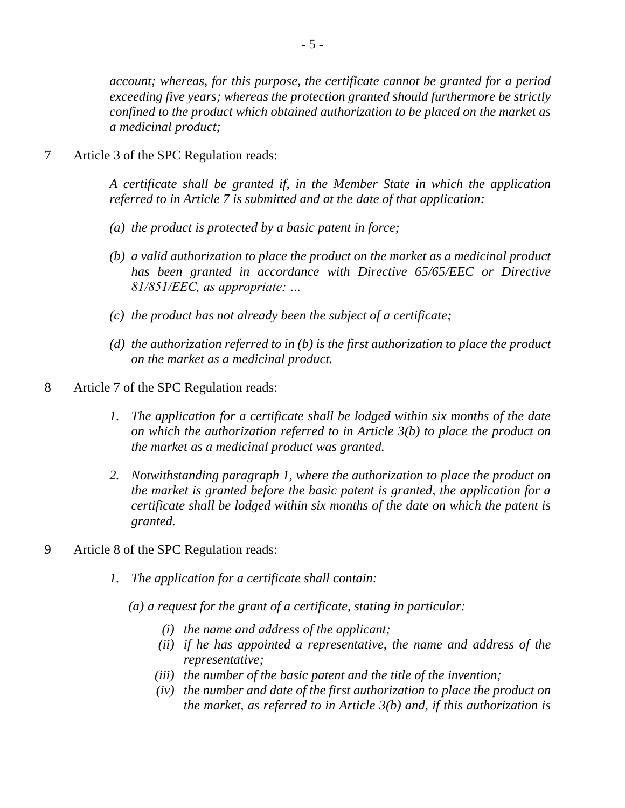*account; whereas, for this purpose, the certificate cannot be granted for a period exceeding five years; whereas the protection granted should furthermore be strictly confined to the product which obtained authorization to be placed on the market as a medicinal product;*

7 Article 3 of the SPC Regulation reads:

*A certificate shall be granted if, in the Member State in which the application referred to in Article 7 is submitted and at the date of that application:*

- *(a) the product is protected by a basic patent in force;*
- *(b) a valid authorization to place the product on the market as a medicinal product has been granted in accordance with Directive 65/65/EEC or Directive 81/851/EEC, as appropriate; …*
- *(c) the product has not already been the subject of a certificate;*
- *(d) the authorization referred to in (b) is the first authorization to place the product on the market as a medicinal product.*
- 8 Article 7 of the SPC Regulation reads:
	- *1. The application for a certificate shall be lodged within six months of the date on which the authorization referred to in Article 3(b) to place the product on the market as a medicinal product was granted.*
	- *2. Notwithstanding paragraph 1, where the authorization to place the product on the market is granted before the basic patent is granted, the application for a certificate shall be lodged within six months of the date on which the patent is granted.*
- 9 Article 8 of the SPC Regulation reads:
	- *1. The application for a certificate shall contain:*
		- *(a) a request for the grant of a certificate, stating in particular:*
			- *(i) the name and address of the applicant;*
			- *(ii) if he has appointed a representative, the name and address of the representative;*
			- *(iii) the number of the basic patent and the title of the invention;*
			- *(iv) the number and date of the first authorization to place the product on the market, as referred to in Article 3(b) and, if this authorization is*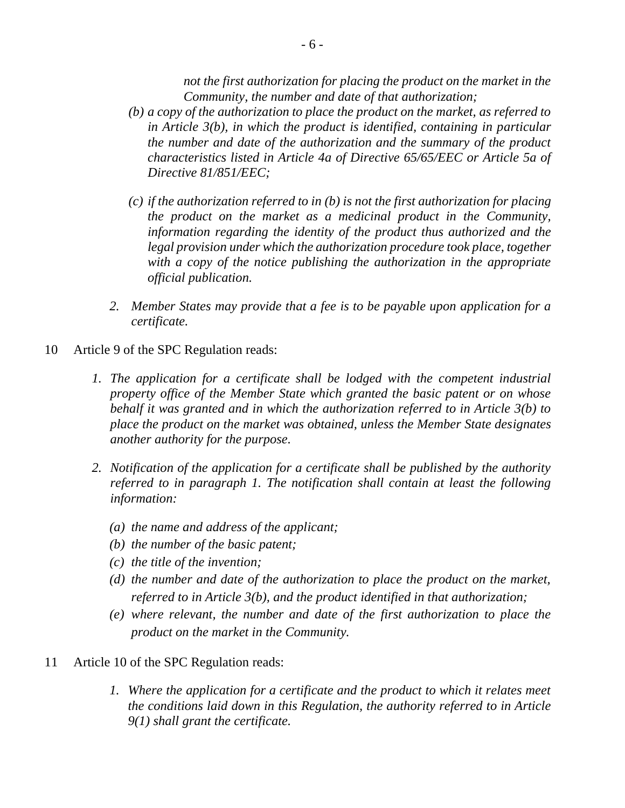*not the first authorization for placing the product on the market in the Community, the number and date of that authorization;*

- *(b) a copy of the authorization to place the product on the market, as referred to in Article 3(b), in which the product is identified, containing in particular the number and date of the authorization and the summary of the product characteristics listed in Article 4a of Directive 65/65/EEC or Article 5a of Directive 81/851/EEC;*
- *(c) if the authorization referred to in (b) is not the first authorization for placing the product on the market as a medicinal product in the Community, information regarding the identity of the product thus authorized and the legal provision under which the authorization procedure took place, together with a copy of the notice publishing the authorization in the appropriate official publication.*
- *2. Member States may provide that a fee is to be payable upon application for a certificate.*
- 10 Article 9 of the SPC Regulation reads:
	- *1.* The application for a certificate shall be lodged with the competent industrial *property office of the Member State which granted the basic patent or on whose behalf it was granted and in which the authorization referred to in Article 3(b) to place the product on the market was obtained, unless the Member State designates another authority for the purpose.*
	- *2. Notification of the application for a certificate shall be published by the authority referred to in paragraph 1. The notification shall contain at least the following information:*
		- *(a) the name and address of the applicant;*
		- *(b) the number of the basic patent;*
		- *(c) the title of the invention;*
		- *(d) the number and date of the authorization to place the product on the market, referred to in Article 3(b), and the product identified in that authorization;*
		- *(e) where relevant, the number and date of the first authorization to place the product on the market in the Community.*
- 11 Article 10 of the SPC Regulation reads:
	- *1. Where the application for a certificate and the product to which it relates meet the conditions laid down in this Regulation, the authority referred to in Article 9(1) shall grant the certificate.*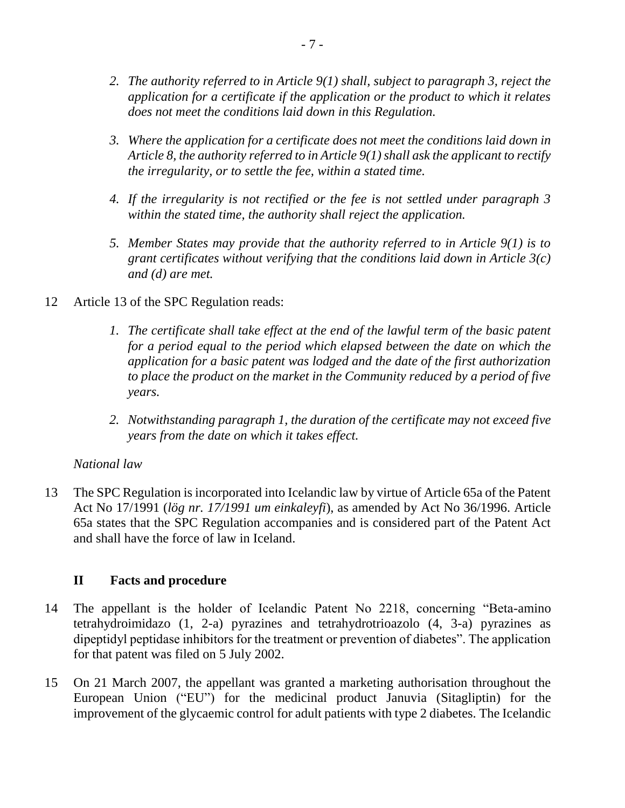- *2. The authority referred to in Article 9(1) shall, subject to paragraph 3, reject the application for a certificate if the application or the product to which it relates does not meet the conditions laid down in this Regulation.*
- *3. Where the application for a certificate does not meet the conditions laid down in Article 8, the authority referred to in Article 9(1) shall ask the applicant to rectify the irregularity, or to settle the fee, within a stated time.*
- *4. If the irregularity is not rectified or the fee is not settled under paragraph 3 within the stated time, the authority shall reject the application.*
- *5. Member States may provide that the authority referred to in Article 9(1) is to grant certificates without verifying that the conditions laid down in Article 3(c) and (d) are met.*
- 12 Article 13 of the SPC Regulation reads:
	- *1. The certificate shall take effect at the end of the lawful term of the basic patent for a period equal to the period which elapsed between the date on which the application for a basic patent was lodged and the date of the first authorization to place the product on the market in the Community reduced by a period of five years.*
	- *2. Notwithstanding paragraph 1, the duration of the certificate may not exceed five years from the date on which it takes effect.*

### *National law*

13 The SPC Regulation is incorporated into Icelandic law by virtue of Article 65a of the Patent Act No 17/1991 (*lög nr. 17/1991 um einkaleyfi*), as amended by Act No 36/1996. Article 65a states that the SPC Regulation accompanies and is considered part of the Patent Act and shall have the force of law in Iceland.

### **II Facts and procedure**

- 14 The appellant is the holder of Icelandic Patent No 2218, concerning "Beta-amino tetrahydroimidazo (1, 2-a) pyrazines and tetrahydrotrioazolo (4, 3-a) pyrazines as dipeptidyl peptidase inhibitors for the treatment or prevention of diabetes". The application for that patent was filed on 5 July 2002.
- 15 On 21 March 2007, the appellant was granted a marketing authorisation throughout the European Union ("EU") for the medicinal product Januvia (Sitagliptin) for the improvement of the glycaemic control for adult patients with type 2 diabetes. The Icelandic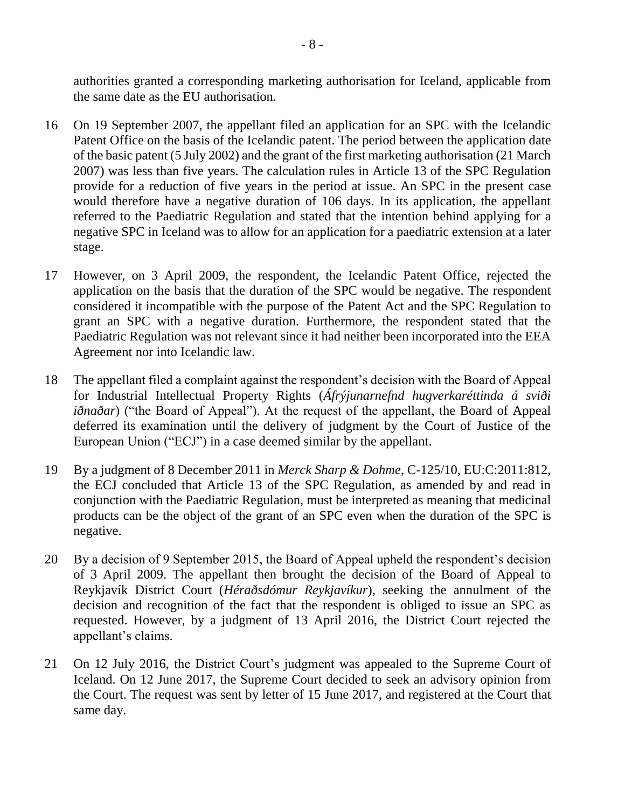authorities granted a corresponding marketing authorisation for Iceland, applicable from the same date as the EU authorisation.

- 16 On 19 September 2007, the appellant filed an application for an SPC with the Icelandic Patent Office on the basis of the Icelandic patent. The period between the application date of the basic patent (5 July 2002) and the grant of the first marketing authorisation (21 March 2007) was less than five years. The calculation rules in Article 13 of the SPC Regulation provide for a reduction of five years in the period at issue. An SPC in the present case would therefore have a negative duration of 106 days. In its application, the appellant referred to the Paediatric Regulation and stated that the intention behind applying for a negative SPC in Iceland was to allow for an application for a paediatric extension at a later stage.
- 17 However, on 3 April 2009, the respondent, the Icelandic Patent Office, rejected the application on the basis that the duration of the SPC would be negative. The respondent considered it incompatible with the purpose of the Patent Act and the SPC Regulation to grant an SPC with a negative duration. Furthermore, the respondent stated that the Paediatric Regulation was not relevant since it had neither been incorporated into the EEA Agreement nor into Icelandic law.
- 18 The appellant filed a complaint against the respondent's decision with the Board of Appeal for Industrial Intellectual Property Rights (*Áfrýjunarnefnd hugverkaréttinda á sviði iðnaðar*) ("the Board of Appeal"). At the request of the appellant, the Board of Appeal deferred its examination until the delivery of judgment by the Court of Justice of the European Union ("ECJ") in a case deemed similar by the appellant.
- 19 By a judgment of 8 December 2011 in *Merck Sharp & Dohme*, C-125/10, EU:C:2011:812, the ECJ concluded that Article 13 of the SPC Regulation, as amended by and read in conjunction with the Paediatric Regulation, must be interpreted as meaning that medicinal products can be the object of the grant of an SPC even when the duration of the SPC is negative.
- 20 By a decision of 9 September 2015, the Board of Appeal upheld the respondent's decision of 3 April 2009. The appellant then brought the decision of the Board of Appeal to Reykjavík District Court (*Héraðsdómur Reykjavíkur*), seeking the annulment of the decision and recognition of the fact that the respondent is obliged to issue an SPC as requested. However, by a judgment of 13 April 2016, the District Court rejected the appellant's claims.
- 21 On 12 July 2016, the District Court's judgment was appealed to the Supreme Court of Iceland. On 12 June 2017, the Supreme Court decided to seek an advisory opinion from the Court. The request was sent by letter of 15 June 2017, and registered at the Court that same day.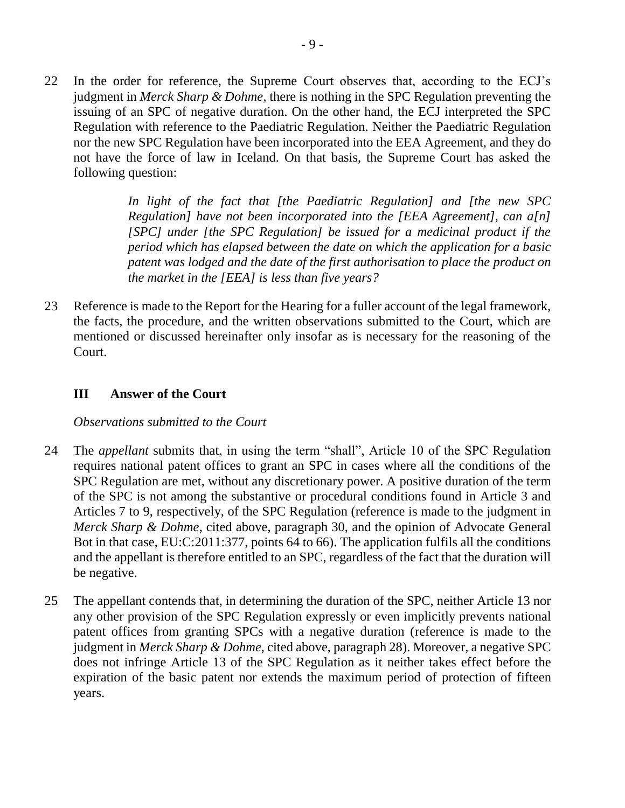22 In the order for reference, the Supreme Court observes that, according to the ECJ's judgment in *Merck Sharp & Dohme*, there is nothing in the SPC Regulation preventing the issuing of an SPC of negative duration. On the other hand, the ECJ interpreted the SPC Regulation with reference to the Paediatric Regulation. Neither the Paediatric Regulation nor the new SPC Regulation have been incorporated into the EEA Agreement, and they do not have the force of law in Iceland. On that basis, the Supreme Court has asked the following question:

> *In light of the fact that [the Paediatric Regulation] and [the new SPC Regulation] have not been incorporated into the [EEA Agreement], can a[n] [SPC] under [the SPC Regulation] be issued for a medicinal product if the period which has elapsed between the date on which the application for a basic patent was lodged and the date of the first authorisation to place the product on the market in the [EEA] is less than five years?*

23 Reference is made to the Report for the Hearing for a fuller account of the legal framework, the facts, the procedure, and the written observations submitted to the Court, which are mentioned or discussed hereinafter only insofar as is necessary for the reasoning of the Court.

### **III Answer of the Court**

#### *Observations submitted to the Court*

- 24 The *appellant* submits that, in using the term "shall", Article 10 of the SPC Regulation requires national patent offices to grant an SPC in cases where all the conditions of the SPC Regulation are met, without any discretionary power. A positive duration of the term of the SPC is not among the substantive or procedural conditions found in Article 3 and Articles 7 to 9, respectively, of the SPC Regulation (reference is made to the judgment in *Merck Sharp & Dohme*, cited above, paragraph 30, and the opinion of Advocate General Bot in that case, EU:C:2011:377, points 64 to 66). The application fulfils all the conditions and the appellant is therefore entitled to an SPC, regardless of the fact that the duration will be negative.
- 25 The appellant contends that, in determining the duration of the SPC, neither Article 13 nor any other provision of the SPC Regulation expressly or even implicitly prevents national patent offices from granting SPCs with a negative duration (reference is made to the judgment in *Merck Sharp & Dohme,* cited above, paragraph 28). Moreover, a negative SPC does not infringe Article 13 of the SPC Regulation as it neither takes effect before the expiration of the basic patent nor extends the maximum period of protection of fifteen years.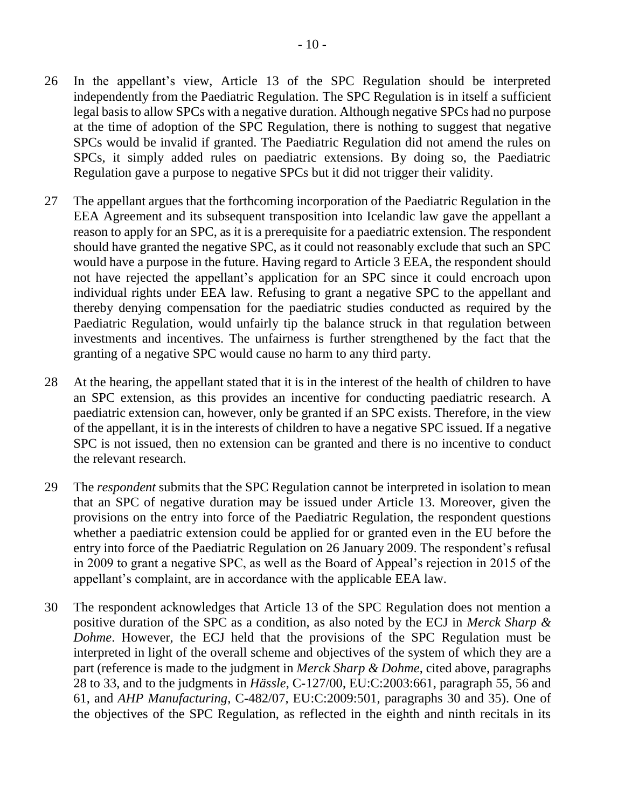- 26 In the appellant's view, Article 13 of the SPC Regulation should be interpreted independently from the Paediatric Regulation. The SPC Regulation is in itself a sufficient legal basis to allow SPCs with a negative duration. Although negative SPCs had no purpose at the time of adoption of the SPC Regulation, there is nothing to suggest that negative SPCs would be invalid if granted. The Paediatric Regulation did not amend the rules on SPCs, it simply added rules on paediatric extensions. By doing so, the Paediatric Regulation gave a purpose to negative SPCs but it did not trigger their validity.
- 27 The appellant argues that the forthcoming incorporation of the Paediatric Regulation in the EEA Agreement and its subsequent transposition into Icelandic law gave the appellant a reason to apply for an SPC, as it is a prerequisite for a paediatric extension. The respondent should have granted the negative SPC, as it could not reasonably exclude that such an SPC would have a purpose in the future. Having regard to Article 3 EEA, the respondent should not have rejected the appellant's application for an SPC since it could encroach upon individual rights under EEA law. Refusing to grant a negative SPC to the appellant and thereby denying compensation for the paediatric studies conducted as required by the Paediatric Regulation, would unfairly tip the balance struck in that regulation between investments and incentives. The unfairness is further strengthened by the fact that the granting of a negative SPC would cause no harm to any third party.
- 28 At the hearing, the appellant stated that it is in the interest of the health of children to have an SPC extension, as this provides an incentive for conducting paediatric research. A paediatric extension can, however, only be granted if an SPC exists. Therefore, in the view of the appellant, it is in the interests of children to have a negative SPC issued. If a negative SPC is not issued, then no extension can be granted and there is no incentive to conduct the relevant research.
- 29 The *respondent* submits that the SPC Regulation cannot be interpreted in isolation to mean that an SPC of negative duration may be issued under Article 13. Moreover, given the provisions on the entry into force of the Paediatric Regulation, the respondent questions whether a paediatric extension could be applied for or granted even in the EU before the entry into force of the Paediatric Regulation on 26 January 2009. The respondent's refusal in 2009 to grant a negative SPC, as well as the Board of Appeal's rejection in 2015 of the appellant's complaint, are in accordance with the applicable EEA law.
- 30 The respondent acknowledges that Article 13 of the SPC Regulation does not mention a positive duration of the SPC as a condition, as also noted by the ECJ in *Merck Sharp & Dohme*. However, the ECJ held that the provisions of the SPC Regulation must be interpreted in light of the overall scheme and objectives of the system of which they are a part (reference is made to the judgment in *Merck Sharp & Dohme*, cited above, paragraphs 28 to 33, and to the judgments in *Hässle*, C-127/00, EU:C:2003:661, paragraph 55, 56 and 61, and *AHP Manufacturing*, C-482/07, EU:C:2009:501, paragraphs 30 and 35). One of the objectives of the SPC Regulation, as reflected in the eighth and ninth recitals in its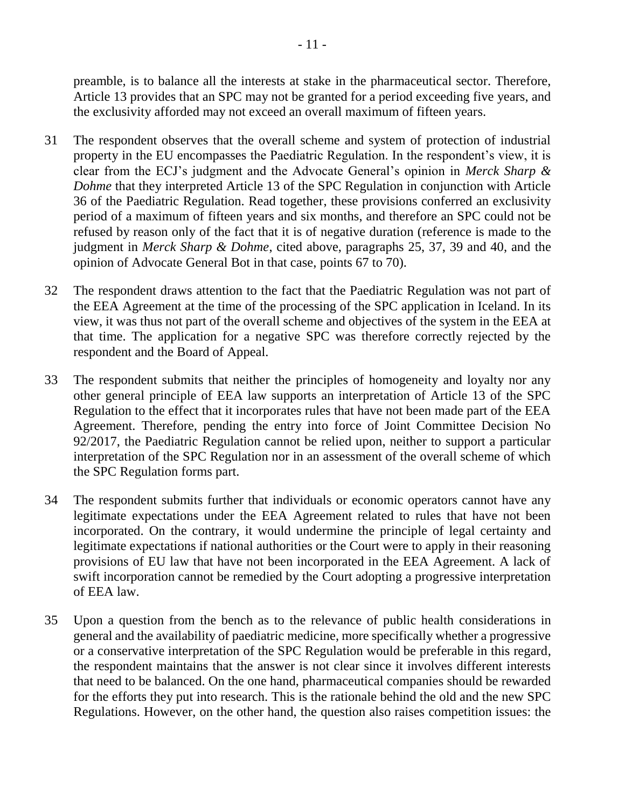preamble, is to balance all the interests at stake in the pharmaceutical sector. Therefore, Article 13 provides that an SPC may not be granted for a period exceeding five years, and the exclusivity afforded may not exceed an overall maximum of fifteen years.

- 31 The respondent observes that the overall scheme and system of protection of industrial property in the EU encompasses the Paediatric Regulation. In the respondent's view, it is clear from the ECJ's judgment and the Advocate General's opinion in *Merck Sharp & Dohme* that they interpreted Article 13 of the SPC Regulation in conjunction with Article 36 of the Paediatric Regulation. Read together, these provisions conferred an exclusivity period of a maximum of fifteen years and six months, and therefore an SPC could not be refused by reason only of the fact that it is of negative duration (reference is made to the judgment in *Merck Sharp & Dohme*, cited above, paragraphs 25, 37, 39 and 40, and the opinion of Advocate General Bot in that case, points 67 to 70).
- 32 The respondent draws attention to the fact that the Paediatric Regulation was not part of the EEA Agreement at the time of the processing of the SPC application in Iceland. In its view, it was thus not part of the overall scheme and objectives of the system in the EEA at that time. The application for a negative SPC was therefore correctly rejected by the respondent and the Board of Appeal.
- 33 The respondent submits that neither the principles of homogeneity and loyalty nor any other general principle of EEA law supports an interpretation of Article 13 of the SPC Regulation to the effect that it incorporates rules that have not been made part of the EEA Agreement. Therefore, pending the entry into force of Joint Committee Decision No 92/2017, the Paediatric Regulation cannot be relied upon, neither to support a particular interpretation of the SPC Regulation nor in an assessment of the overall scheme of which the SPC Regulation forms part.
- 34 The respondent submits further that individuals or economic operators cannot have any legitimate expectations under the EEA Agreement related to rules that have not been incorporated. On the contrary, it would undermine the principle of legal certainty and legitimate expectations if national authorities or the Court were to apply in their reasoning provisions of EU law that have not been incorporated in the EEA Agreement. A lack of swift incorporation cannot be remedied by the Court adopting a progressive interpretation of EEA law.
- 35 Upon a question from the bench as to the relevance of public health considerations in general and the availability of paediatric medicine, more specifically whether a progressive or a conservative interpretation of the SPC Regulation would be preferable in this regard, the respondent maintains that the answer is not clear since it involves different interests that need to be balanced. On the one hand, pharmaceutical companies should be rewarded for the efforts they put into research. This is the rationale behind the old and the new SPC Regulations. However, on the other hand, the question also raises competition issues: the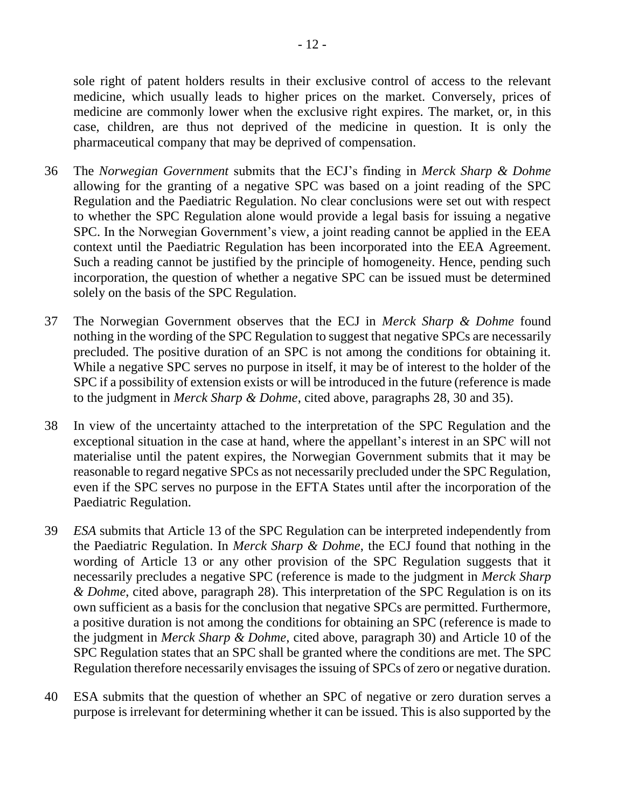sole right of patent holders results in their exclusive control of access to the relevant medicine, which usually leads to higher prices on the market. Conversely, prices of medicine are commonly lower when the exclusive right expires. The market, or, in this case, children, are thus not deprived of the medicine in question. It is only the pharmaceutical company that may be deprived of compensation.

- 36 The *Norwegian Government* submits that the ECJ's finding in *Merck Sharp & Dohme*  allowing for the granting of a negative SPC was based on a joint reading of the SPC Regulation and the Paediatric Regulation. No clear conclusions were set out with respect to whether the SPC Regulation alone would provide a legal basis for issuing a negative SPC. In the Norwegian Government's view, a joint reading cannot be applied in the EEA context until the Paediatric Regulation has been incorporated into the EEA Agreement. Such a reading cannot be justified by the principle of homogeneity. Hence, pending such incorporation, the question of whether a negative SPC can be issued must be determined solely on the basis of the SPC Regulation.
- 37 The Norwegian Government observes that the ECJ in *Merck Sharp & Dohme* found nothing in the wording of the SPC Regulation to suggest that negative SPCs are necessarily precluded. The positive duration of an SPC is not among the conditions for obtaining it. While a negative SPC serves no purpose in itself, it may be of interest to the holder of the SPC if a possibility of extension exists or will be introduced in the future (reference is made to the judgment in *Merck Sharp & Dohme*, cited above, paragraphs 28, 30 and 35).
- 38 In view of the uncertainty attached to the interpretation of the SPC Regulation and the exceptional situation in the case at hand, where the appellant's interest in an SPC will not materialise until the patent expires, the Norwegian Government submits that it may be reasonable to regard negative SPCs as not necessarily precluded under the SPC Regulation, even if the SPC serves no purpose in the EFTA States until after the incorporation of the Paediatric Regulation.
- 39 *ESA* submits that Article 13 of the SPC Regulation can be interpreted independently from the Paediatric Regulation. In *Merck Sharp & Dohme*, the ECJ found that nothing in the wording of Article 13 or any other provision of the SPC Regulation suggests that it necessarily precludes a negative SPC (reference is made to the judgment in *Merck Sharp & Dohme*, cited above, paragraph 28). This interpretation of the SPC Regulation is on its own sufficient as a basis for the conclusion that negative SPCs are permitted. Furthermore, a positive duration is not among the conditions for obtaining an SPC (reference is made to the judgment in *Merck Sharp & Dohme*, cited above, paragraph 30) and Article 10 of the SPC Regulation states that an SPC shall be granted where the conditions are met. The SPC Regulation therefore necessarily envisages the issuing of SPCs of zero or negative duration.
- 40 ESA submits that the question of whether an SPC of negative or zero duration serves a purpose is irrelevant for determining whether it can be issued. This is also supported by the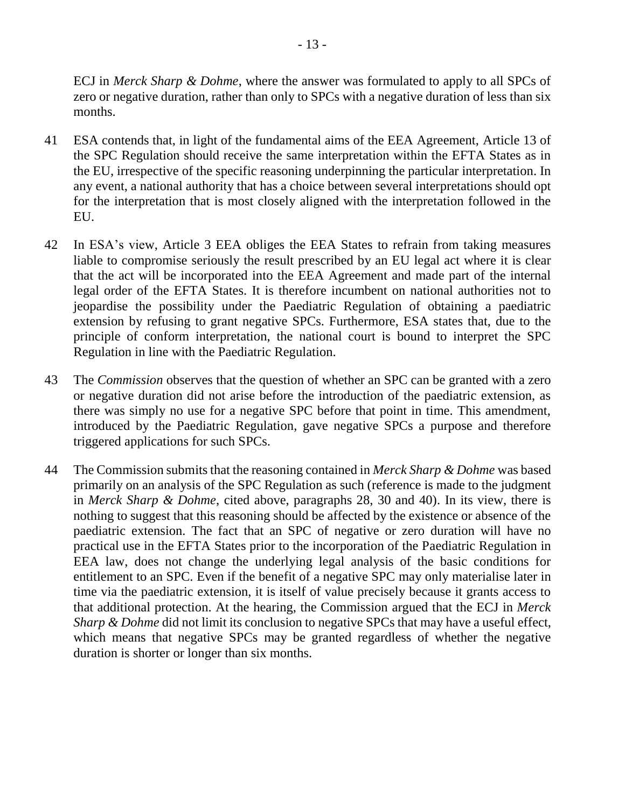ECJ in *Merck Sharp & Dohme*, where the answer was formulated to apply to all SPCs of zero or negative duration, rather than only to SPCs with a negative duration of less than six months.

- 41 ESA contends that, in light of the fundamental aims of the EEA Agreement, Article 13 of the SPC Regulation should receive the same interpretation within the EFTA States as in the EU, irrespective of the specific reasoning underpinning the particular interpretation. In any event, a national authority that has a choice between several interpretations should opt for the interpretation that is most closely aligned with the interpretation followed in the EU.
- 42 In ESA's view, Article 3 EEA obliges the EEA States to refrain from taking measures liable to compromise seriously the result prescribed by an EU legal act where it is clear that the act will be incorporated into the EEA Agreement and made part of the internal legal order of the EFTA States. It is therefore incumbent on national authorities not to jeopardise the possibility under the Paediatric Regulation of obtaining a paediatric extension by refusing to grant negative SPCs. Furthermore, ESA states that, due to the principle of conform interpretation, the national court is bound to interpret the SPC Regulation in line with the Paediatric Regulation.
- 43 The *Commission* observes that the question of whether an SPC can be granted with a zero or negative duration did not arise before the introduction of the paediatric extension, as there was simply no use for a negative SPC before that point in time. This amendment, introduced by the Paediatric Regulation, gave negative SPCs a purpose and therefore triggered applications for such SPCs.
- 44 The Commission submits that the reasoning contained in *Merck Sharp & Dohme* was based primarily on an analysis of the SPC Regulation as such (reference is made to the judgment in *Merck Sharp & Dohme*, cited above, paragraphs 28, 30 and 40). In its view, there is nothing to suggest that this reasoning should be affected by the existence or absence of the paediatric extension. The fact that an SPC of negative or zero duration will have no practical use in the EFTA States prior to the incorporation of the Paediatric Regulation in EEA law, does not change the underlying legal analysis of the basic conditions for entitlement to an SPC. Even if the benefit of a negative SPC may only materialise later in time via the paediatric extension, it is itself of value precisely because it grants access to that additional protection. At the hearing, the Commission argued that the ECJ in *Merck Sharp & Dohme* did not limit its conclusion to negative SPCs that may have a useful effect, which means that negative SPCs may be granted regardless of whether the negative duration is shorter or longer than six months.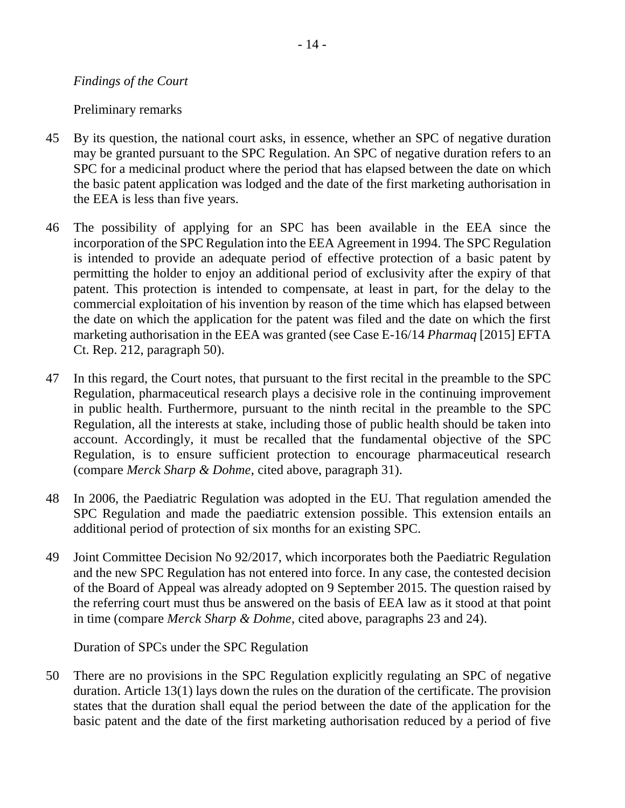#### *Findings of the Court*

#### Preliminary remarks

- 45 By its question, the national court asks, in essence, whether an SPC of negative duration may be granted pursuant to the SPC Regulation. An SPC of negative duration refers to an SPC for a medicinal product where the period that has elapsed between the date on which the basic patent application was lodged and the date of the first marketing authorisation in the EEA is less than five years.
- 46 The possibility of applying for an SPC has been available in the EEA since the incorporation of the SPC Regulation into the EEA Agreement in 1994. The SPC Regulation is intended to provide an adequate period of effective protection of a basic patent by permitting the holder to enjoy an additional period of exclusivity after the expiry of that patent. This protection is intended to compensate, at least in part, for the delay to the commercial exploitation of his invention by reason of the time which has elapsed between the date on which the application for the patent was filed and the date on which the first marketing authorisation in the EEA was granted (see Case E-16/14 *Pharmaq* [2015] EFTA Ct. Rep. 212, paragraph 50).
- 47 In this regard, the Court notes, that pursuant to the first recital in the preamble to the SPC Regulation, pharmaceutical research plays a decisive role in the continuing improvement in public health. Furthermore, pursuant to the ninth recital in the preamble to the SPC Regulation, all the interests at stake, including those of public health should be taken into account. Accordingly, it must be recalled that the fundamental objective of the SPC Regulation, is to ensure sufficient protection to encourage pharmaceutical research (compare *Merck Sharp & Dohme*, cited above, paragraph 31).
- 48 In 2006, the Paediatric Regulation was adopted in the EU. That regulation amended the SPC Regulation and made the paediatric extension possible. This extension entails an additional period of protection of six months for an existing SPC.
- 49 Joint Committee Decision No 92/2017, which incorporates both the Paediatric Regulation and the new SPC Regulation has not entered into force. In any case, the contested decision of the Board of Appeal was already adopted on 9 September 2015. The question raised by the referring court must thus be answered on the basis of EEA law as it stood at that point in time (compare *Merck Sharp & Dohme*, cited above, paragraphs 23 and 24).

Duration of SPCs under the SPC Regulation

50 There are no provisions in the SPC Regulation explicitly regulating an SPC of negative duration. Article 13(1) lays down the rules on the duration of the certificate. The provision states that the duration shall equal the period between the date of the application for the basic patent and the date of the first marketing authorisation reduced by a period of five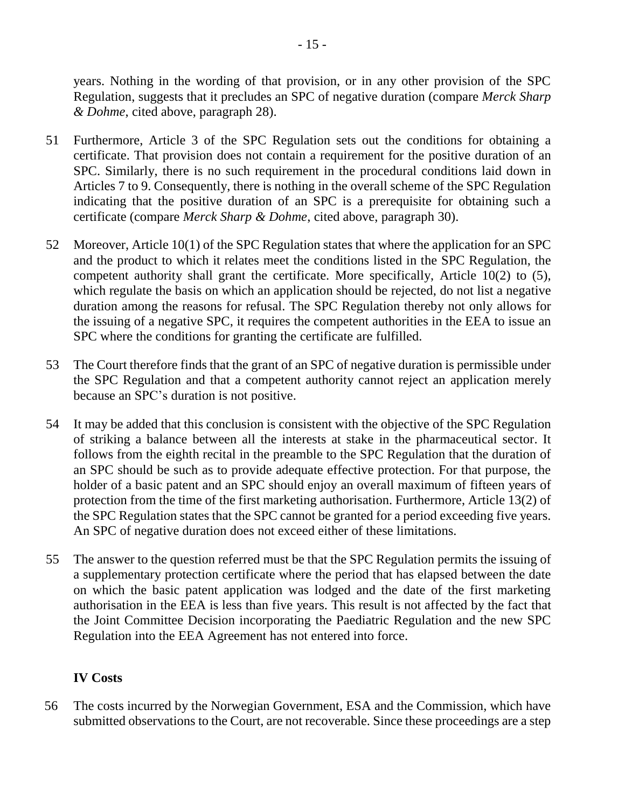years. Nothing in the wording of that provision, or in any other provision of the SPC Regulation, suggests that it precludes an SPC of negative duration (compare *Merck Sharp & Dohme*, cited above, paragraph 28).

- 51 Furthermore, Article 3 of the SPC Regulation sets out the conditions for obtaining a certificate. That provision does not contain a requirement for the positive duration of an SPC. Similarly, there is no such requirement in the procedural conditions laid down in Articles 7 to 9. Consequently, there is nothing in the overall scheme of the SPC Regulation indicating that the positive duration of an SPC is a prerequisite for obtaining such a certificate (compare *Merck Sharp & Dohme*, cited above, paragraph 30).
- 52 Moreover, Article 10(1) of the SPC Regulation states that where the application for an SPC and the product to which it relates meet the conditions listed in the SPC Regulation, the competent authority shall grant the certificate. More specifically, Article 10(2) to (5), which regulate the basis on which an application should be rejected, do not list a negative duration among the reasons for refusal. The SPC Regulation thereby not only allows for the issuing of a negative SPC, it requires the competent authorities in the EEA to issue an SPC where the conditions for granting the certificate are fulfilled.
- 53 The Court therefore finds that the grant of an SPC of negative duration is permissible under the SPC Regulation and that a competent authority cannot reject an application merely because an SPC's duration is not positive.
- 54 It may be added that this conclusion is consistent with the objective of the SPC Regulation of striking a balance between all the interests at stake in the pharmaceutical sector. It follows from the eighth recital in the preamble to the SPC Regulation that the duration of an SPC should be such as to provide adequate effective protection. For that purpose, the holder of a basic patent and an SPC should enjoy an overall maximum of fifteen years of protection from the time of the first marketing authorisation. Furthermore, Article 13(2) of the SPC Regulation states that the SPC cannot be granted for a period exceeding five years. An SPC of negative duration does not exceed either of these limitations.
- 55 The answer to the question referred must be that the SPC Regulation permits the issuing of a supplementary protection certificate where the period that has elapsed between the date on which the basic patent application was lodged and the date of the first marketing authorisation in the EEA is less than five years. This result is not affected by the fact that the Joint Committee Decision incorporating the Paediatric Regulation and the new SPC Regulation into the EEA Agreement has not entered into force.

# **IV Costs**

56 The costs incurred by the Norwegian Government, ESA and the Commission, which have submitted observations to the Court, are not recoverable. Since these proceedings are a step